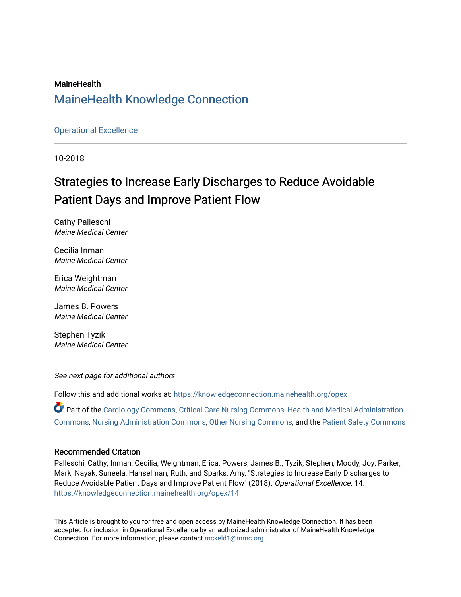#### **MaineHealth** [MaineHealth Knowledge Connection](https://knowledgeconnection.mainehealth.org/)

#### [Operational Excellence](https://knowledgeconnection.mainehealth.org/opex)

10-2018

# Strategies to Increase Early Discharges to Reduce Avoidable Patient Days and Improve Patient Flow

Cathy Palleschi Maine Medical Center

Cecilia Inman Maine Medical Center

Erica Weightman Maine Medical Center

James B. Powers Maine Medical Center

Stephen Tyzik Maine Medical Center

See next page for additional authors

Follow this and additional works at: [https://knowledgeconnection.mainehealth.org/opex](https://knowledgeconnection.mainehealth.org/opex?utm_source=knowledgeconnection.mainehealth.org%2Fopex%2F14&utm_medium=PDF&utm_campaign=PDFCoverPages)

Part of the [Cardiology Commons](http://network.bepress.com/hgg/discipline/683?utm_source=knowledgeconnection.mainehealth.org%2Fopex%2F14&utm_medium=PDF&utm_campaign=PDFCoverPages), [Critical Care Nursing Commons,](http://network.bepress.com/hgg/discipline/727?utm_source=knowledgeconnection.mainehealth.org%2Fopex%2F14&utm_medium=PDF&utm_campaign=PDFCoverPages) [Health and Medical Administration](http://network.bepress.com/hgg/discipline/663?utm_source=knowledgeconnection.mainehealth.org%2Fopex%2F14&utm_medium=PDF&utm_campaign=PDFCoverPages)  [Commons](http://network.bepress.com/hgg/discipline/663?utm_source=knowledgeconnection.mainehealth.org%2Fopex%2F14&utm_medium=PDF&utm_campaign=PDFCoverPages), [Nursing Administration Commons,](http://network.bepress.com/hgg/discipline/719?utm_source=knowledgeconnection.mainehealth.org%2Fopex%2F14&utm_medium=PDF&utm_campaign=PDFCoverPages) [Other Nursing Commons](http://network.bepress.com/hgg/discipline/729?utm_source=knowledgeconnection.mainehealth.org%2Fopex%2F14&utm_medium=PDF&utm_campaign=PDFCoverPages), and the [Patient Safety Commons](http://network.bepress.com/hgg/discipline/1410?utm_source=knowledgeconnection.mainehealth.org%2Fopex%2F14&utm_medium=PDF&utm_campaign=PDFCoverPages) 

#### Recommended Citation

Palleschi, Cathy; Inman, Cecilia; Weightman, Erica; Powers, James B.; Tyzik, Stephen; Moody, Joy; Parker, Mark; Nayak, Suneela; Hanselman, Ruth; and Sparks, Amy, "Strategies to Increase Early Discharges to Reduce Avoidable Patient Days and Improve Patient Flow" (2018). Operational Excellence. 14. [https://knowledgeconnection.mainehealth.org/opex/14](https://knowledgeconnection.mainehealth.org/opex/14?utm_source=knowledgeconnection.mainehealth.org%2Fopex%2F14&utm_medium=PDF&utm_campaign=PDFCoverPages) 

This Article is brought to you for free and open access by MaineHealth Knowledge Connection. It has been accepted for inclusion in Operational Excellence by an authorized administrator of MaineHealth Knowledge Connection. For more information, please contact [mckeld1@mmc.org](mailto:mckeld1@mmc.org).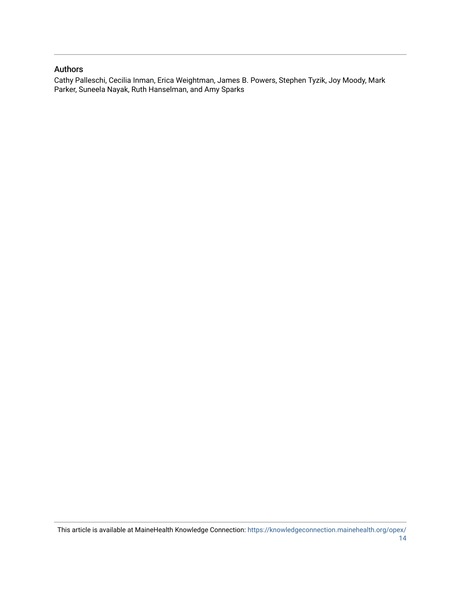#### Authors

Cathy Palleschi, Cecilia Inman, Erica Weightman, James B. Powers, Stephen Tyzik, Joy Moody, Mark Parker, Suneela Nayak, Ruth Hanselman, and Amy Sparks

This article is available at MaineHealth Knowledge Connection: [https://knowledgeconnection.mainehealth.org/opex/](https://knowledgeconnection.mainehealth.org/opex/14) [14](https://knowledgeconnection.mainehealth.org/opex/14)